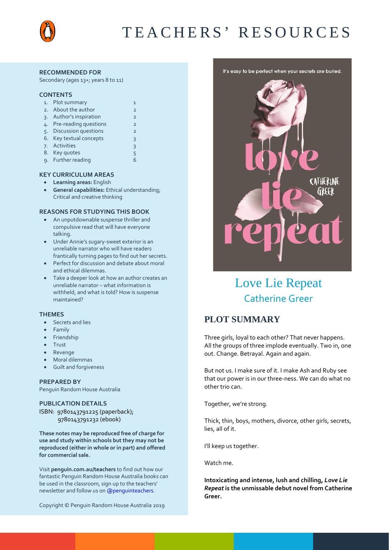

#### **RECOMMENDED FOR**

Secondary (ages 13+; years 8 to 11)

#### **CONTENTS**

| 1. | Plot summary                | 1              |
|----|-----------------------------|----------------|
| 2. | About the author            | $\overline{2}$ |
| 3. | Author's inspiration        | $\overline{2}$ |
| 4. | Pre-reading questions       | $\overline{2}$ |
| 5. | <b>Discussion questions</b> | $\overline{2}$ |
| 6. | Key textual concepts        | 3              |
| 7. | Activities                  | $\overline{3}$ |
|    | 8. Key quotes               | 5              |
|    | 9. Further reading          | 6              |
|    |                             |                |

#### **KEY CURRICULUM AREAS**

- **Learning areas:** English
- **General capabilities:** Ethical understanding; Critical and creative thinking

#### **REASONS FOR STUDYING THIS BOOK**

- An unputdownable suspense thriller and compulsive read that will have everyone talking.
- Under Annie's sugary-sweet exterior is an unreliable narrator who will have readers frantically turning pages to find out her secrets.
- Perfect for discussion and debate about moral and ethical dilemmas.
- Take a deeper look at how an author creates an unreliable narrator – what information is withheld, and what is told? How is suspense maintained?

#### **THEMES**

- Secrets and lies
- Family
- Friendship
- Trust
- Revenge
- Moral dilemmas
- Guilt and forgiveness

#### **PREPARED BY**

Penguin Random House Australia

#### **PUBLICATION DETAILS**

ISBN: 9780143791225 (paperback); 9780143791232 (ebook)

**These notes may be reproduced free of charge for use and study within schools but they may not be reproduced (either in whole or in part) and offered for commercial sale.**

Visit **[penguin.com.au/teachers](http://www.penguin.com.au/teachers)** to find out how our fantastic Penguin Random House Australia books can be used in the classroom, sign up to the teachers' newsletter and follow us o[n @penguinteachers.](http://twitter.com/penguinteachers)





# Love Lie Repeat Catherine Greer

## **PLOT SUMMARY**

Three girls, loyal to each other? That never happens. All the groups of three implode eventually. Two in, one out. Change. Betrayal. Again and again.

But not us. I make sure of it. I make Ash and Ruby see that our power is in our three-ness. We can do what no other trio can.

Together, we're strong.

Thick, thin, boys, mothers, divorce, other girls, secrets, lies, all of it.

I'll keep us together.

Watch me.

**Intoxicating and intense, lush and chilling,** *Love Lie Repeat* **is the unmissable debut novel from Catherine Greer.**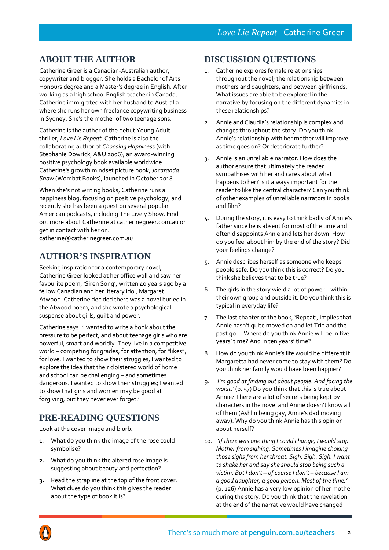## **ABOUT THE AUTHOR**

Catherine Greer is a Canadian-Australian author, copywriter and blogger. She holds a Bachelor of Arts Honours degree and a Master's degree in English. After working as a high school English teacher in Canada, Catherine immigrated with her husband to Australia where she runs her own freelance copywriting business in Sydney. She's the mother of two teenage sons.

Catherine is the author of the debut Young Adult thriller, *Love Lie Repeat*. Catherine is also the collaborating author of *Choosing Happiness* (with Stephanie Dowrick, A&U 2006), an award-winning positive psychology book available worldwide. Catherine's growth mindset picture book, *Jacaranda Snow* (Wombat Books), launched in October 2018.

When she's not writing books, Catherine runs a happiness blog, focusing on positive psychology, and recently she has been a guest on several popular American podcasts, including The Lively Show. Find out more about Catherine at catherinegreer.com.au or get in contact with her on: catherine@catherinegreer.com.au

## **AUTHOR'S INSPIRATION**

Seeking inspiration for a contemporary novel, Catherine Greer looked at her office wall and saw her favourite poem, 'Siren Song', written 40 years ago by a fellow Canadian and her literary idol, Margaret Atwood. Catherine decided there was a novel buried in the Atwood poem, and she wrote a psychological suspense about girls, guilt and power.

Catherine says: 'I wanted to write a book about the pressure to be perfect, and about teenage girls who are powerful, smart and worldly. They live in a competitive world – competing for grades, for attention, for "likes", for love. I wanted to show their struggles; I wanted to explore the idea that their cloistered world of home and school can be challenging – and sometimes dangerous. I wanted to show their struggles; I wanted to show that girls and women may be good at forgiving, but they never ever forget.'

## **PRE-READING QUESTIONS**

Look at the cover image and blurb.

- 1. What do you think the image of the rose could symbolise?
- **2.** What do you think the altered rose image is suggesting about beauty and perfection?
- **3.** Read the strapline at the top of the front cover. What clues do you think this gives the reader about the type of book it is?

### **DISCUSSION QUESTIONS**

- 1. Catherine explores female relationships throughout the novel; the relationship between mothers and daughters, and between girlfriends. What issues are able to be explored in the narrative by focusing on the different dynamics in these relationships?
- 2. Annie and Claudia's relationship is complex and changes throughout the story. Do you think Annie's relationship with her mother will improve as time goes on? Or deteriorate further?
- 3. Annie is an unreliable narrator. How does the author ensure that ultimately the reader sympathises with her and cares about what happens to her? Is it always important for the reader to like the central character? Can you think of other examples of unreliable narrators in books and film?
- 4. During the story, it is easy to think badly of Annie's father since he is absent for most of the time and often disappoints Annie and lets her down. How do you feel about him by the end of the story? Did your feelings change?
- 5. Annie describes herself as someone who keeps people safe. Do you think this is correct? Do you think she believes that to be true?
- 6. The girls in the story wield a lot of power within their own group and outside it. Do you think this is typical in everyday life?
- 7. The last chapter of the book, 'Repeat', implies that Annie hasn't quite moved on and let Trip and the past go … Where do you think Annie will be in five years' time? And in ten years' time?
- 8. How do you think Annie's life would be different if Margaretta had never come to stay with them? Do you think her family would have been happier?
- 9. *'I'm good at finding out about people. And facing the worst.'* (p. 57) Do you think that this is true about Annie? There are a lot of secrets being kept by characters in the novel and Annie doesn't know all of them (Ashlin being gay, Annie's dad moving away). Why do you think Annie has this opinion about herself?
- 10. *'If there was one thing I could change, I would stop Mother from sighing. Sometimes I imagine choking those sighs from her throat. Sigh. Sigh. Sigh. I want to shake her and say she should stop being such a victim. But I don't – of course I don't – because I am a good daughter, a good person. Most of the time.'* (p. 126) Annie has a very low opinion of her mother during the story. Do you think that the revelation at the end of the narrative would have changed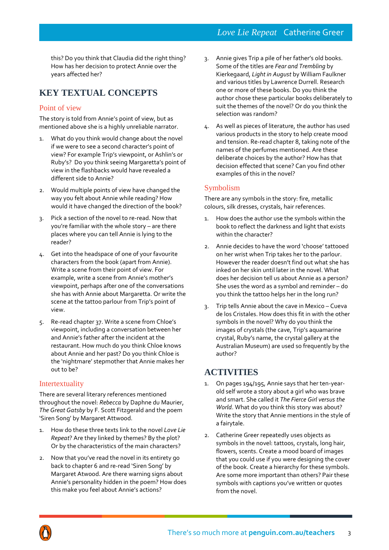this? Do you think that Claudia did the right thing? How has her decision to protect Annie over the years affected her?

## **KEY TEXTUAL CONCEPTS**

### Point of view

The story is told from Annie's point of view, but as mentioned above she is a highly unreliable narrator.

- 1. What do you think would change about the novel if we were to see a second character's point of view? For example Trip's viewpoint, or Ashlin's or Ruby's? Do you think seeing Margaretta's point of view in the flashbacks would have revealed a different side to Annie?
- 2. Would multiple points of view have changed the way you felt about Annie while reading? How would it have changed the direction of the book?
- 3. Pick a section of the novel to re-read. Now that you're familiar with the whole story – are there places where you can tell Annie is lying to the reader?
- 4. Get into the headspace of one of your favourite characters from the book (apart from Annie). Write a scene from their point of view. For example, write a scene from Annie's mother's viewpoint, perhaps after one of the conversations she has with Annie about Margaretta. Or write the scene at the tattoo parlour from Trip's point of view.
- 5. Re-read chapter 37. Write a scene from Chloe's viewpoint, including a conversation between her and Annie's father after the incident at the restaurant. How much do you think Chloe knows about Annie and her past? Do you think Chloe is the 'nightmare' stepmother that Annie makes her out to be?

### Intertextuality

There are several literary references mentioned throughout the novel: *Rebecca* by Daphne du Maurier, *The Great Gatsby* by F. Scott Fitzgerald and the poem 'Siren Song' by Margaret Attwood.

- 1. How do these three texts link to the novel *Love Lie Repeat*? Are they linked by themes? By the plot? Or by the characteristics of the main characters?
- 2. Now that you've read the novel in its entirety go back to chapter 6 and re-read 'Siren Song' by Margaret Atwood. Are there warning signs about Annie's personality hidden in the poem? How does this make you feel about Annie's actions?
- 3. Annie gives Trip a pile of her father's old books. Some of the titles are *Fear and Trembling* by Kierkegaard, *Light in August* by William Faulkner and various titles by Lawrence Durrell. Research one or more of these books. Do you think the author chose these particular books deliberately to suit the themes of the novel? Or do you think the selection was random?
- 4. As well as pieces of literature, the author has used various products in the story to help create mood and tension. Re-read chapter 8, taking note of the names of the perfumes mentioned. Are these deliberate choices by the author? How has that decision effected that scene? Can you find other examples of this in the novel?

### Symbolism

There are any symbols in the story: fire, metallic colours, silk dresses, crystals, hair references.

- 1. How does the author use the symbols within the book to reflect the darkness and light that exists within the character?
- 2. Annie decides to have the word 'choose' tattooed on her wrist when Trip takes her to the parlour. However the reader doesn't find out what she has inked on her skin until later in the novel. What does her decision tell us about Annie as a person? She uses the word as a symbol and reminder – do you think the tattoo helps her in the long run?
- 3. Trip tells Annie about the cave in Mexico Cueva de los Cristales. How does this fit in with the other symbols in the novel? Why do you think the images of crystals (the cave, Trip's aquamarine crystal, Ruby's name, the crystal gallery at the Australian Museum) are used so frequently by the author?

## **ACTIVITIES**

- 1. On pages 194/195, Annie says that her ten-yearold self wrote a story about a girl who was brave and smart. She called it *The Fierce Girl versus the World*. What do you think this story was about? Write the story that Annie mentions in the style of a fairytale.
- 2. Catherine Greer repeatedly uses objects as symbols in the novel: tattoos, crystals, long hair, flowers, scents. Create a mood board of images that you could use if you were designing the cover of the book. Create a hierarchy for these symbols. Are some more important than others? Pair these symbols with captions you've written or quotes from the novel.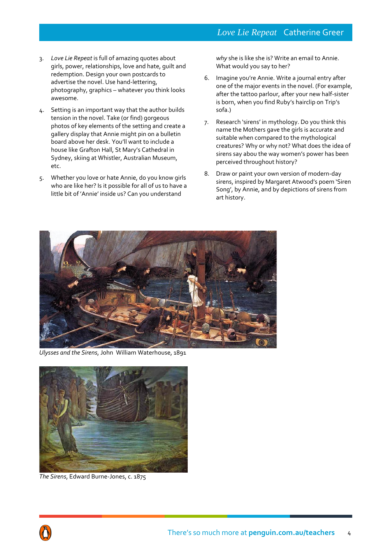- 3. *Love Lie Repeat* is full of amazing quotes about girls, power, relationships, love and hate, guilt and redemption. Design your own postcards to advertise the novel. Use hand-lettering, photography, graphics – whatever you think looks awesome.
- 4. Setting is an important way that the author builds tension in the novel. Take (or find) gorgeous photos of key elements of the setting and create a gallery display that Annie might pin on a bulletin board above her desk. You'll want to include a house like Grafton Hall, St Mary's Cathedral in Sydney, skiing at Whistler, Australian Museum, etc.
- 5. Whether you love or hate Annie, do you know girls who are like her? Is it possible for all of us to have a little bit of 'Annie' inside us? Can you understand

*why* she is like she is? Write an email to Annie. What would you say to her?

- 6. Imagine you're Annie. Write a journal entry after one of the major events in the novel. (For example, after the tattoo parlour, after your new half-sister is born, when you find Ruby's hairclip on Trip's sofa.)
- 7. Research 'sirens' in mythology. Do you think this name the Mothers gave the girls is accurate and suitable when compared to the mythological creatures? Why or why not? What does the idea of sirens say abou the way women's power has been perceived throughout history?
- 8. Draw or paint your own version of modern-day sirens, inspired by Margaret Atwood's poem 'Siren Song', by Annie, and by depictions of sirens from art history.



*Ulysses and the Sirens*, John William Waterhouse, 1891



*The Sirens*, Edward Burne-Jones, c. 1875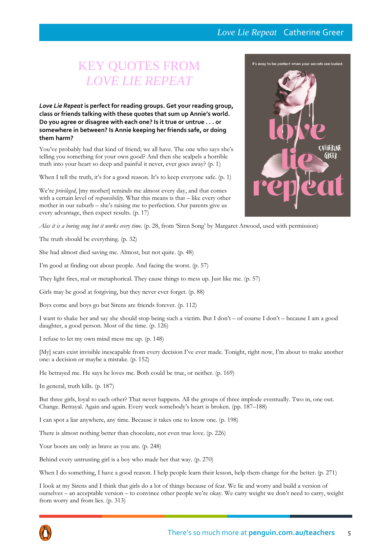### *Love Lie Repeat* Catherine Greer

# KEY QUOTES FROM *LOVE LIE REPEAT*

*Love Lie Repeat* **is perfect for reading groups. Get your reading group, class or friends talking with these quotes that sum up Annie's world. Do you agree or disagree with each one? Is it true or untrue . . . or somewhere in between? Is Annie keeping her friends safe, or doing them harm?**

You've probably had that kind of friend; we all have. The one who says she's telling you something for your own good? And then she scalpels a horrible truth into your heart so deep and painful it never, ever goes away? (p. 1)

When I tell the truth, it's for a good reason. It's to keep everyone safe. (p. 1)

We're *privileged*, [my mother] reminds me almost every day, and that comes with a certain level of *responsibility*. What this means is that – like every other mother in our suburb – she's raising me to perfection. Our parents give us every advantage, then expect results. (p. 17)

Alas it is a boring song but it works every time. (p. 28, from 'Siren Song' by Margaret Atwood, used with permission)

The truth should be everything. (p. 32)

She had almost died saving me. Almost, but not quite. (p. 48)

I'm good at finding out about people. And facing the worst. (p. 57)

They light fires, real or metaphorical. They cause things to mess up. Just like me. (p. 57)

Girls may be good at forgiving, but they never ever forget. (p. 88)

Boys come and boys go but Sirens are friends forever. (p. 112)

I want to shake her and say she should stop being such a victim. But I don't – of course I don't – because I am a good daughter, a good person. Most of the time. (p. 126)

I refuse to let my own mind mess me up. (p. 148)

[My] scars exist invisible inescapable from every decision I've ever made. Tonight, right now, I'm about to make another one: a decision or maybe a mistake. (p. 152)

He betrayed me. He says he loves me. Both could be true, or neither. (p. 169)

In general, truth kills. (p. 187)

But three girls, loyal to each other? That never happens. All the groups of three implode eventually. Two in, one out. Change. Betrayal. Again and again. Every week somebody's heart is broken. (pp. 187–188)

I can spot a liar anywhere, any time. Because it takes one to know one. (p. 198)

There is almost nothing better than chocolate, not even true love. (p. 226)

Your boots are only as brave as you are. (p. 248)

Behind every untrusting girl is a boy who made her that way. (p. 270)

When I do something, I have a good reason. I help people learn their lesson, help them change for the better. (p. 271)

I look at my Sirens and I think that girls do a lot of things because of fear. We lie and worry and build a version of ourselves – an acceptable version – to convince other people we're okay. We carry weight we don't need to carry, weight from worry and from lies. (p. 313)



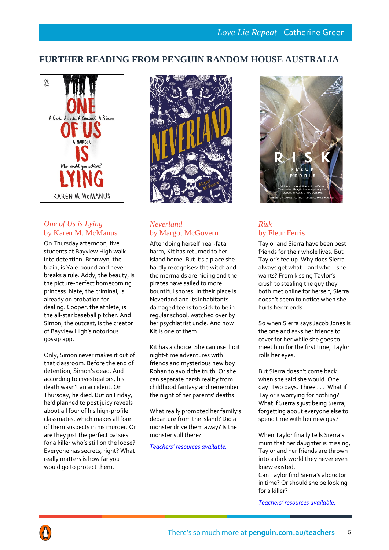## **FURTHER READING FROM PENGUIN RANDOM HOUSE AUSTRALIA**



### *One of Us is Lying* by Karen M. McManus

On Thursday afternoon, five students at Bayview High walk into detention. Bronwyn, the brain, is Yale-bound and never breaks a rule. Addy, the beauty, is the picture-perfect homecoming princess. Nate, the criminal, is already on probation for dealing. Cooper, the athlete, is the all-star baseball pitcher. And Simon, the outcast, is the creator of Bayview High's notorious gossip app.

Only, Simon never makes it out of that classroom. Before the end of detention, Simon's dead. And according to investigators, his death wasn't an accident. On Thursday, he died. But on Friday, he'd planned to post juicy reveals about all four of his high-profile classmates, which makes all four of them suspects in his murder. Or are they just the perfect patsies for a killer who's still on the loose? Everyone has secrets, right? What really matters is how far you would go to protect them.



### *Neverland* by Margot McGovern

After doing herself near-fatal harm, Kit has returned to her island home. But it's a place she hardly recognises: the witch and the mermaids are hiding and the pirates have sailed to more bountiful shores. In their place is Neverland and its inhabitants – damaged teens too sick to be in regular school, watched over by her psychiatrist uncle. And now Kit is one of them.

Kit has a choice. She can use illicit night-time adventures with friends and mysterious new boy Rohan to avoid the truth. Or she can separate harsh reality from childhood fantasy and remember the night of her parents' deaths.

What really prompted her family's departure from the island? Did a monster drive them away? Is the monster still there?

*[Teachers' resources available.](http://www.penguin.com.au/teachers)*



## *Risk* by Fleur Ferris

Taylor and Sierra have been best friends for their whole lives. But Taylor's fed up. Why does Sierra always get what – and who – she wants? From kissing Taylor's crush to stealing the guy they both met online for herself, Sierra doesn't seem to notice when she hurts her friends.

So when Sierra says Jacob Jones is the one and asks her friends to cover for her while she goes to meet him for the first time, Taylor rolls her eyes.

But Sierra doesn't come back when she said she would. One day. Two days. Three . . . What if Taylor's worrying for nothing? What if Sierra's just being Sierra, forgetting about everyone else to spend time with her new guy?

When Taylor finally tells Sierra's mum that her daughter is missing, Taylor and her friends are thrown into a dark world they never even knew existed. Can Taylor find Sierra's abductor

in time? Or should she be looking for a killer?

*[Teachers' resources available.](http://www.penguin.com.au/teachers)*